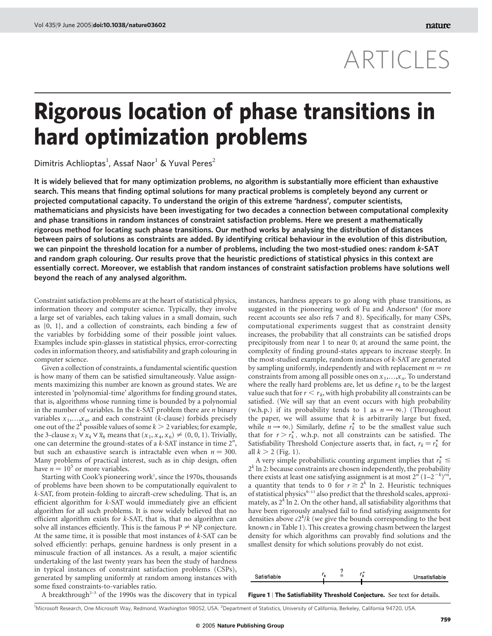# ARTICLES

## Rigorous location of phase transitions in hard optimization problems

Dimitris Achlioptas<sup>1</sup>, Assaf Naor<sup>1</sup> & Yuval Peres<sup>2</sup>

It is widely believed that for many optimization problems, no algorithm is substantially more efficient than exhaustive search. This means that finding optimal solutions for many practical problems is completely beyond any current or projected computational capacity. To understand the origin of this extreme 'hardness', computer scientists, mathematicians and physicists have been investigating for two decades a connection between computational complexity and phase transitions in random instances of constraint satisfaction problems. Here we present a mathematically rigorous method for locating such phase transitions. Our method works by analysing the distribution of distances between pairs of solutions as constraints are added. By identifying critical behaviour in the evolution of this distribution, we can pinpoint the threshold location for a number of problems, including the two most-studied ones: random *k*-SAT and random graph colouring. Our results prove that the heuristic predictions of statistical physics in this context are essentially correct. Moreover, we establish that random instances of constraint satisfaction problems have solutions well beyond the reach of any analysed algorithm.

Constraint satisfaction problems are at the heart of statistical physics, information theory and computer science. Typically, they involve a large set of variables, each taking values in a small domain, such as {0, 1}, and a collection of constraints, each binding a few of the variables by forbidding some of their possible joint values. Examples include spin-glasses in statistical physics, error-correcting codes in information theory, and satisfiability and graph colouring in computer science.

Given a collection of constraints, a fundamental scientific question is how many of them can be satisfied simultaneously. Value assignments maximizing this number are known as ground states. We are interested in 'polynomial-time' algorithms for finding ground states, that is, algorithms whose running time is bounded by a polynomial in the number of variables. In the  $k$ -SAT problem there are  $n$  binary variables  $x_1,...,x_n$ , and each constraint (*k*-clause) forbids precisely one out of the  $2^k$  possible values of some  $k\geq 2$  variables; for example, the 3-clause  $x_1 \vee x_4 \vee \overline{x}_6$  means that  $(x_1, x_4, x_6) \neq (0, 0, 1)$ . Trivially, one can determine the ground-states of a  $k$ -SAT instance in time  $2^n$ , but such an exhaustive search is intractable even when  $n = 300$ . Many problems of practical interest, such as in chip design, often have  $n = 10^5$  or more variables.

Starting with Cook's pioneering work<sup>1</sup>, since the 1970s, thousands of problems have been shown to be computationally equivalent to k-SAT, from protein-folding to aircraft-crew scheduling. That is, an efficient algorithm for k-SAT would immediately give an efficient algorithm for all such problems. It is now widely believed that no efficient algorithm exists for  $k$ -SAT, that is, that no algorithm can solve all instances efficiently. This is the famous  $P \neq NP$  conjecture. At the same time, it is possible that most instances of k-SAT can be solved efficiently: perhaps, genuine hardness is only present in a minuscule fraction of all instances. As a result, a major scientific undertaking of the last twenty years has been the study of hardness in typical instances of constraint satisfaction problems (CSPs), generated by sampling uniformly at random among instances with some fixed constraints-to-variables ratio.

instances, hardness appears to go along with phase transitions, as suggested in the pioneering work of Fu and Anderson<sup>6</sup> (for more recent accounts see also refs 7 and 8). Specifically, for many CSPs, computational experiments suggest that as constraint density increases, the probability that all constraints can be satisfied drops precipitously from near 1 to near 0; at around the same point, the complexity of finding ground-states appears to increase steeply. In the most-studied example, random instances of k-SAT are generated by sampling uniformly, independently and with replacement  $m = rn$ constraints from among all possible ones on  $x_1, \ldots, x_n$ . To understand where the really hard problems are, let us define  $r_k$  to be the largest value such that for  $r < r_k$ , with high probability all constraints can be satisfied. (We will say that an event occurs with high probability (w.h.p.) if its probability tends to 1 as  $n \to \infty$ .) (Throughout the paper, we will assume that  $k$  is arbitrarily large but fixed, while  $n \to \infty$ .) Similarly, define  $r_k^*$  to be the smallest value such that for  $r > r_k^*$ , w.h.p. not all constraints can be satisfied. The Satisfiability Threshold Conjecture asserts that, in fact,  $r_k = r_k^*$  for all  $k > 2$  (Fig. 1).

A very simple probabilistic counting argument implies that  $r_k^* \leq$  $2<sup>k</sup>$  ln 2: because constraints are chosen independently, the probability there exists at least one satisfying assignment is at most  $2^n (1-2^{-k})^{rn}$ , a quantity that tends to 0 for  $r \ge 2^k \ln 2$ . Heuristic techniques of statistical physics<sup>9-11</sup> also predict that the threshold scales, approximately, as  $2^k \ln 2$ . On the other hand, all satisfiability algorithms that have been rigorously analysed fail to find satisfying assignments for densities above  $c2^k/k$  (we give the bounds corresponding to the best known  $c$  in Table 1). This creates a growing chasm between the largest density for which algorithms can provably find solutions and the smallest density for which solutions provably do not exist.



A breakthrough<sup> $2-5$ </sup> of the 1990s was the discovery that in typical

Figure 1 | The Satisfiability Threshold Conjecture. See text for details.

<sup>1</sup>Microsoft Research, One Microsoft Way, Redmond, Washington 98052, USA. <sup>2</sup>Department of Statistics, University of California, Berkeley, California 94720, USA.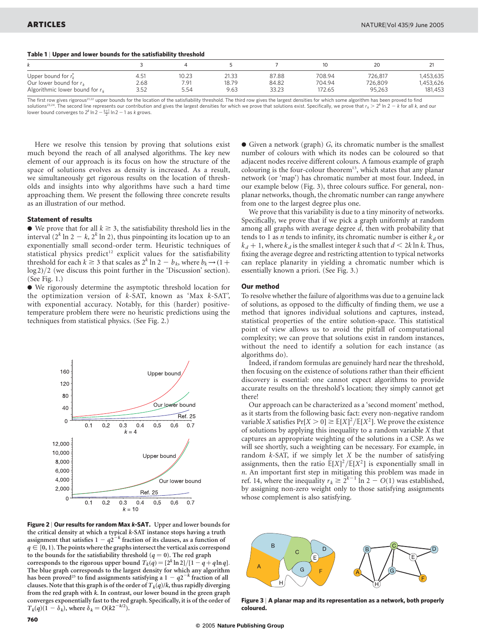#### Table 1 | Upper and lower bounds for the satisfiability threshold

|                                   |      |       |       |       |        | 20      | <u>.</u> |
|-----------------------------------|------|-------|-------|-------|--------|---------|----------|
| Upper bound for $\vec{r_k}$       | 4.5  | 10.23 | 21.33 | 87.88 | 708.94 | 726.817 | ,453,635 |
| Our lower bound for $r_k$         | 2.68 | 7.91  | 18.79 | 84.82 | 704.94 | 726,809 | ,453,626 |
| Algorithmic lower bound for $r_k$ | 3.52 | 5.54  | 9.63  | 33.23 | 172.65 | 95,263  | 181,453  |

The first row gives rigorous<sup>21,22</sup> upper bounds for the location of the satisfiability threshold. The third row gives the largest densities for which some algorithm has been proved to find<br>solutions<sup>23,24</sup>. The second li lower bound converges to  $2^k \ln 2 - \frac{k+1}{2} \ln 2 - 1$  as k grows.

Here we resolve this tension by proving that solutions exist much beyond the reach of all analysed algorithms. The key new element of our approach is its focus on how the structure of the space of solutions evolves as density is increased. As a result, we simultaneously get rigorous results on the location of thresholds and insights into why algorithms have such a hard time approaching them. We present the following three concrete results as an illustration of our method.

## Statement of results

 $\bullet$  We prove that for all  $k \geq 3$ , the satisfiability threshold lies in the interval  $(2^k \ln 2 - k, 2^k \ln 2)$ , thus pinpointing its location up to an exponentially small second-order term. Heuristic techniques of statistical physics predict<sup>12</sup> explicit values for the satisfiability threshold for each  $k \ge 3$  that scales as  $2^k \ln 2 - b_k$ , where  $b_k \rightarrow (1 + b_k)$  $log 2)/2$  (we discuss this point further in the 'Discussion' section). (See Fig. 1.)

• We rigorously determine the asymptotic threshold location for the optimization version of k-SAT, known as 'Max k-SAT', with exponential accuracy. Notably, for this (harder) positivetemperature problem there were no heuristic predictions using the techniques from statistical physics. (See Fig. 2.)



Figure 2 | Our results for random Max k-SAT. Upper and lower bounds for the critical density at which a typical  $k$ -SAT instance stops having a truth assignment that satisfies  $1 - q2^{-k}$  fraction of its clauses, as a function of  $q \in [0, 1).$  The points where the graphs intersect the vertical axis correspond to the bounds for the satisfiability threshold  $(q = 0)$ . The red graph corresponds to the rigorous upper bound  $T_k(q) = \frac{2k \ln 2}{1 - q + q \ln q}$ . The blue graph corresponds to the largest density for which any algorithm has been proved<sup>25</sup> to find assignments satisfying a  $1 - q2^{-k}$  fraction of all clauses. Note that this graph is of the order of  $T_k(q)/k$ , thus rapidly diverging from the red graph with k. In contrast, our lower bound in the green graph converges exponentially fast to the red graph. Specifically, it is of the order of  $T_k(q)(1 - \delta_k)$ , where  $\delta_k = O(k2^{-k/2})$ .

 $\bullet$  Given a network (graph) G, its chromatic number is the smallest number of colours with which its nodes can be coloured so that adjacent nodes receive different colours. A famous example of graph colouring is the four-colour theorem<sup>13</sup>, which states that any planar network (or 'map') has chromatic number at most four. Indeed, in our example below (Fig. 3), three colours suffice. For general, nonplanar networks, though, the chromatic number can range anywhere from one to the largest degree plus one.

We prove that this variability is due to a tiny minority of networks. Specifically, we prove that if we pick a graph uniformly at random among all graphs with average degree d, then with probability that tends to 1 as *n* tends to infinity, its chromatic number is either  $k_d$  or  $k_d + 1$ , where  $k_d$  is the smallest integer k such that  $d \leq 2k \ln k$ . Thus, fixing the average degree and restricting attention to typical networks can replace planarity in yielding a chromatic number which is essentially known a priori. (See Fig. 3.)

## Our method

To resolve whether the failure of algorithms was due to a genuine lack of solutions, as opposed to the difficulty of finding them, we use a method that ignores individual solutions and captures, instead, statistical properties of the entire solution-space. This statistical point of view allows us to avoid the pitfall of computational complexity; we can prove that solutions exist in random instances, without the need to identify a solution for each instance (as algorithms do).

Indeed, if random formulas are genuinely hard near the threshold, then focusing on the existence of solutions rather than their efficient discovery is essential: one cannot expect algorithms to provide accurate results on the threshold's location; they simply cannot get there!

Our approach can be characterized as a 'second moment' method, as it starts from the following basic fact: every non-negative random variable X satisfies  $Pr[X > 0] \geq \mathbb{E}[X]^2 / \mathbb{E}[X^2]$ . We prove the existence of solutions by applying this inequality to a random variable X that captures an appropriate weighting of the solutions in a CSP. As we will see shortly, such a weighting can be necessary. For example, in random  $k$ -SAT, if we simply let  $X$  be the number of satisfying assignments, then the ratio  $\mathbb{E}[X]^2 / \mathbb{E}[X^2]$  is exponentially small in n. An important first step in mitigating this problem was made in ref. 14, where the inequality  $r_k \ge 2^{k-1}$  ln 2  $-$  O(1) was established, by assigning non-zero weight only to those satisfying assignments whose complement is also satisfying.



Figure 3 | A planar map and its representation as a network, both properly coloured.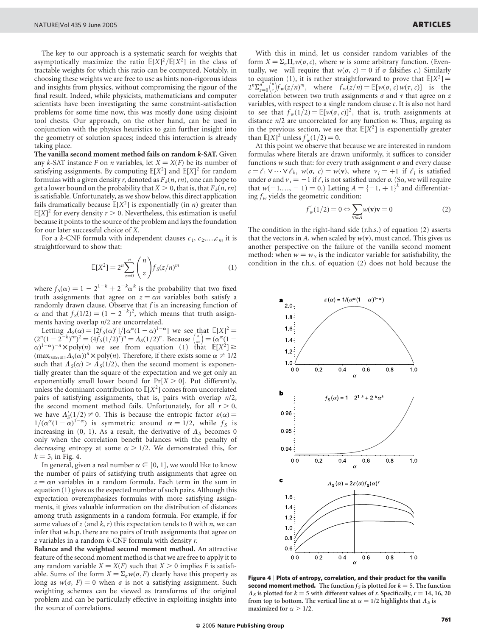The key to our approach is a systematic search for weights that asymptotically maximize the ratio  $\mathbb{E}[X]^2 / \mathbb{E}[X^2]$  in the class of tractable weights for which this ratio can be computed. Notably, in choosing these weights we are free to use as hints non-rigorous ideas and insights from physics, without compromising the rigour of the final result. Indeed, while physicists, mathematicians and computer scientists have been investigating the same constraint-satisfaction problems for some time now, this was mostly done using disjoint tool chests. Our approach, on the other hand, can be used in conjunction with the physics heuristics to gain further insight into the geometry of solution spaces; indeed this interaction is already taking place.

The vanilla second moment method fails on random *k*-SAT. Given any k-SAT instance F on *n* variables, let  $X = X(F)$  be its number of satisfying assignments. By computing  $\mathbb{E}[X^2]$  and  $\mathbb{E}[X]^2$  for random formulas with a given density r, denoted as  $F_k(n, rn)$ , one can hope to get a lower bound on the probability that  $X > 0$ , that is, that  $F_k(n, rn)$ is satisfiable. Unfortunately, as we show below, this direct application fails dramatically because  $\mathbb{E}[X^2]$  is exponentially (in *n*) greater than  $\mathbb{E}[X]^2$  for every density  $r > 0$ . Nevertheless, this estimation is useful because it points to the source of the problem and lays the foundation for our later successful choice of X.

For a k-CNF formula with independent clauses  $c_1, c_2,...,c_m$  it is straightforward to show that:

$$
\mathbb{E}[X^2] = 2^n \sum_{z=0}^n \binom{n}{z} f_S(z/n)^m \tag{1}
$$

where  $f_S(\alpha) = 1 - 2^{1-k} + 2^{-k} \alpha^k$  is the probability that two fixed truth assignments that agree on  $z = \alpha n$  variables both satisfy a randomly drawn clause. Observe that  $f$  is an increasing function of  $\alpha$  and that  $f_S(1/2) = (1 - 2^{-k})^2$ , which means that truth assignments having overlap  $n/2$  are uncorrelated.

Letting  $\Lambda_S(\alpha) = \left[2f_S(\alpha)^r\right] / \left[\alpha^{\alpha}(1-\alpha)^{1-\alpha}\right]$  we see that  $\mathbb{E}[X]^2 =$  $(2^n(1-2^{-k})^m)^2 = (4f_S(1/2)^r)^n = \Lambda_S(1/2)^n$ . Because  $\binom{n}{\alpha n} = (\alpha^{\alpha}(1-1)^n)$  $(\alpha)^{1-\alpha}$ <sup>-n</sup> × poly $(n)$  we see from equation (1) that  $\mathbb{E}[X^2] \ge$  $(\max_{0 \leq \alpha \leq 1} A_S(\alpha))^n \times \text{poly}(n)$ . Therefore, if there exists some  $\alpha \neq 1/2$ such that  $\Lambda_S(\alpha) > \Lambda_S(1/2)$ , then the second moment is exponentially greater than the square of the expectation and we get only an exponentially small lower bound for  $Pr[X > 0]$ . Put differently, unless the dominant contribution to  $E[X^2]$  comes from uncorrelated pairs of satisfying assignments, that is, pairs with overlap  $n/2$ , the second moment method fails. Unfortunately, for all  $r > 0$ , we have  $\Lambda'_{S}(1/2) \neq 0$ . This is because the entropic factor  $\varepsilon(\alpha) =$  $1/(\alpha^{\alpha}(1-\alpha)^{1-\alpha})$  is symmetric around  $\alpha = 1/2$ , while  $f_s$  is increasing in (0, 1). As a result, the derivative of  $\Lambda_S$  becomes 0 only when the correlation benefit balances with the penalty of decreasing entropy at some  $\alpha > 1/2$ . We demonstrated this, for  $k = 5$ , in Fig. 4.

In general, given a real number  $\alpha \in [0, 1]$ , we would like to know the number of pairs of satisfying truth assignments that agree on  $z = \alpha n$  variables in a random formula. Each term in the sum in equation (1) gives us the expected number of such pairs. Although this expectation overemphasizes formulas with more satisfying assignments, it gives valuable information on the distribution of distances among truth assignments in a random formula. For example, if for some values of  $z$  (and  $k$ ,  $r$ ) this expectation tends to 0 with  $n$ , we can infer that w.h.p. there are no pairs of truth assignments that agree on z variables in a random k-CNF formula with density r.

Balance and the weighted second moment method. An attractive feature of the second moment method is that we are free to apply it to any random variable  $X = X(F)$  such that  $X > 0$  implies F is satisfiable. Sums of the form  $X = \sum_{\sigma} w(\sigma, F)$  clearly have this property as long as  $w(\sigma, F) = 0$  when  $\sigma$  is not a satisfying assignment. Such weighting schemes can be viewed as transforms of the original problem and can be particularly effective in exploiting insights into the source of correlations.

With this in mind, let us consider random variables of the form  $X = \sum_{\sigma} \prod_{c} w(\sigma, c)$ , where w is some arbitrary function. (Eventually, we will require that  $w(\sigma, c) = 0$  if  $\sigma$  falsifies c.) Similarly to equation (1), it is rather straightforward to prove that  $\mathbb{E}[X^2] =$  $2^{n}\Sigma_{z=0}^{n^{*}}{n \choose z}f_{w}(z/n)^{m}$ , where  $f_{w}(z/n)=\mathbb{E}[w(\sigma, c)w(\tau, c)]$  is the correlation between two truth assignments  $\sigma$  and  $\tau$  that agree on z variables, with respect to a single random clause c. It is also not hard to see that  $f_w(1/2) = \mathbb{E}[w(\sigma, c)]^2$ , that is, truth assignments at distance  $n/2$  are uncorrelated for any function w. Thus, arguing as in the previous section, we see that  $\mathbb{E}[X^2]$  is exponentially greater than  $\mathbb{E}[X]^2$  unless  $f'_{w}(1/2) = 0$ .

At this point we observe that because we are interested in random formulas where literals are drawn uniformly, it suffices to consider functions  $w$  such that: for every truth assignment  $\sigma$  and every clause  $c = \ell_1 \vee \cdots \vee \ell_k$ ,  $w(\sigma, c) = w(\mathbf{v})$ , where  $v_i = +1$  if  $\ell_i$  is satisfied under  $\sigma$  and  $v_i = -1$  if  $\ell_i$  is not satisfied under  $\sigma$ . (So, we will require that  $w(-1,..., -1) = 0$ .) Letting  $A = \{-1, +1\}^k$  and differentiating  $f_w$  yields the geometric condition:

$$
f'_{w}(1/2) = 0 \Leftrightarrow \sum_{\mathbf{v} \in A} w(\mathbf{v})\mathbf{v} = 0
$$
 (2)

The condition in the right-hand side (r.h.s.) of equation (2) asserts that the vectors in A, when scaled by  $w(\mathbf{v})$ , must cancel. This gives us another perspective on the failure of the vanilla second moment method: when  $w = w<sub>S</sub>$  is the indicator variable for satisfiability, the condition in the r.h.s. of equation (2) does not hold because the



Figure 4 | Plots of entropy, correlation, and their product for the vanilla **second moment method.** The function  $f_s$  is plotted for  $k = 5$ . The function  $\Lambda$ <sub>S</sub> is plotted for  $k = 5$  with different values of r. Specifically,  $r = 14$ , 16, 20 from top to bottom. The vertical line at  $\alpha = 1/2$  highlights that  $\Lambda_S$  is maximized for  $\alpha > 1/2$ .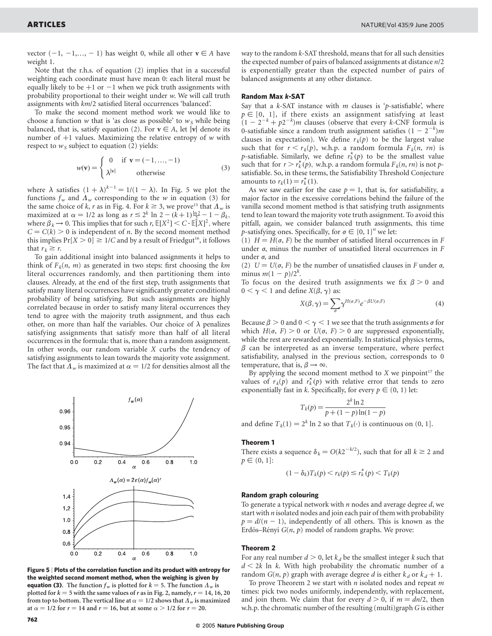vector  $(-1, -1, \ldots, -1)$  has weight 0, while all other  $v \in A$  have weight 1.

Note that the r.h.s. of equation (2) implies that in a successful weighting each coordinate must have mean 0: each literal must be equally likely to be  $+1$  or  $-1$  when we pick truth assignments with probability proportional to their weight under w. We will call truth assignments with km/2 satisfied literal occurrences 'balanced'.

To make the second moment method work we would like to choose a function  $w$  that is 'as close as possible' to  $w_S$  while being balanced, that is, satisfy equation (2). For  $\mathbf{v} \in A$ , let  $|\mathbf{v}|$  denote its number of  $+1$  values. Maximizing the relative entropy of w with respect to  $w<sub>S</sub>$  subject to equation (2) yields:

$$
w(\mathbf{v}) = \begin{cases} 0 & \text{if } \mathbf{v} = (-1, ..., -1) \\ \lambda^{|\mathbf{v}|} & \text{otherwise} \end{cases}
$$
 (3)

where  $\lambda$  satisfies  $(1 + \lambda)^{k-1} = 1/(1 - \lambda)$ . In Fig. 5 we plot the functions  $f_w$  and  $\Lambda_w$  corresponding to the w in equation (3) for the same choice of k, r as in Fig. 4. For  $k \ge 3$ , we prove<sup>15</sup> that  $\Lambda_w$  is maximized at  $\alpha = 1/2$  as long as  $r \le 2^k \ln 2 - (k+1) \frac{\ln 2}{2} - 1 - \beta_k$ , where  $\beta_k \to 0$ . This implies that for such  $r, \mathbb{E}[X^2] < C \cdot \mathbb{E}[X]^2$ , where  $C = C(k) > 0$  is independent of *n*. By the second moment method this implies  $Pr[X > 0] \ge 1/C$  and by a result of Friedgut<sup>16</sup>, it follows that  $r_k \ge r$ .

To gain additional insight into balanced assignments it helps to think of  $F_k(n, m)$  as generated in two steps: first choosing the km literal occurrences randomly, and then partitioning them into clauses. Already, at the end of the first step, truth assignments that satisfy many literal occurrences have significantly greater conditional probability of being satisfying. But such assignments are highly correlated because in order to satisfy many literal occurrences they tend to agree with the majority truth assignment, and thus each other, on more than half the variables. Our choice of  $\lambda$  penalizes satisfying assignments that satisfy more than half of all literal occurrences in the formula: that is, more than a random assignment. In other words, our random variable X curbs the tendency of satisfying assignments to lean towards the majority vote assignment. The fact that  $\Lambda_w$  is maximized at  $\alpha = 1/2$  for densities almost all the



Figure 5 | Plots of the correlation function and its product with entropy for the weighted second moment method, when the weighing is given by **equation (3).** The function  $f_w$  is plotted for  $k = 5$ . The function  $\Lambda_w$  is plotted for  $k = 5$  with the same values of r as in Fig. 2, namely,  $r = 14$ , 16, 20 from top to bottom. The vertical line at  $\alpha = 1/2$  shows that  $\Lambda_w$  is maximized at  $\alpha = 1/2$  for  $r = 14$  and  $r = 16$ , but at some  $\alpha > 1/2$  for  $r = 20$ .

way to the random k-SAT threshold, means that for all such densities the expected number of pairs of balanced assignments at distance n/2 is exponentially greater than the expected number of pairs of balanced assignments at any other distance.

## Random Max k-SAT

Say that a  $k$ -SAT instance with  $m$  clauses is 'p-satisfiable', where  $p \in [0, 1]$ , if there exists an assignment satisfying at least  $(1 - 2^{-k} + p2^{-k})m$  clauses (observe that every k-CNF formula is 0-satisfiable since a random truth assignment satisfies  $(1 - 2^{-k})m$ clauses in expectation). We define  $r_k(p)$  to be the largest value such that for  $r < r_k(p)$ , w.h.p. a random formula  $F_k(n, rn)$  is p-satisfiable. Similarly, we define  $r_k^*(p)$  to be the smallest value such that for  $r > r_k^*(p)$ , w.h.p. a random formula  $F_k(n, rn)$  is not psatisfiable. So, in these terms, the Satisfiability Threshold Conjecture amounts to  $r_k(1) = r_k^*(1)$ .

As we saw earlier for the case  $p = 1$ , that is, for satisfiability, a major factor in the excessive correlations behind the failure of the vanilla second moment method is that satisfying truth assignments tend to lean toward the majority vote truth assignment. To avoid this pitfall, again, we consider balanced truth assignments, this time *p*-satisfying ones. Specifically, for  $\sigma \in \{0, 1\}^n$  we let:

(1)  $H = H(\sigma, F)$  be the number of satisfied literal occurrences in F under  $\sigma$ , minus the number of unsatisfied literal occurrences in  $F$ under  $\sigma$ , and

(2)  $U = U(\sigma, F)$  be the number of unsatisfied clauses in F under  $\sigma$ , minus  $m(1 - p)/2^k$ .

To focus on the desired truth assignments we fix  $\beta > 0$  and  $0 < \gamma < 1$  and define  $X(\beta, \gamma)$  as:

$$
X(\beta, \gamma) = \sum_{\sigma} \gamma^{H(\sigma, F)} e^{-\beta U(\sigma, F)}
$$
(4)

Because  $\beta > 0$  and  $0 < \gamma < 1$  we see that the truth assignments  $\sigma$  for which  $H(\sigma, F) > 0$  or  $U(\sigma, F) > 0$  are suppressed exponentially, while the rest are rewarded exponentially. In statistical physics terms,  $\beta$  can be interpreted as an inverse temperature, where perfect satisfiability, analysed in the previous section, corresponds to 0 temperature, that is,  $\beta \rightarrow \infty$ .

By applying the second moment method to  $X$  we pinpoint<sup>17</sup> the values of  $r_k(p)$  and  $r_k^*(p)$  with relative error that tends to zero exponentially fast in k. Specifically, for every  $p \in (0, 1)$  let:

$$
T_k(p) = \frac{2^k \ln 2}{p + (1 - p) \ln(1 - p)}
$$

and define  $T_k(1) = 2^k \ln 2$  so that  $T_k(\cdot)$  is continuous on  $(0, 1]$ .

#### Theorem 1

There exists a sequence  $\delta_k = O(k2^{-k/2})$ , such that for all  $k \ge 2$  and  $p \in (0, 1]$ :

$$
(1 - \delta_k)T_k(p) < r_k(p) \le r_k^*(p) < T_k(p)
$$

#### Random graph colouring

To generate a typical network with  $n$  nodes and average degree  $d$ , we start with  $n$  isolated nodes and join each pair of them with probability  $p = d/(n - 1)$ , independently of all others. This is known as the Erdös–Rényi  $G(n, p)$  model of random graphs. We prove:

## Theorem 2

For any real number  $d > 0$ , let  $k_d$  be the smallest integer k such that  $d < 2k$  ln k. With high probability the chromatic number of a random  $G(n, p)$  graph with average degree d is either  $k_d$  or  $k_d + 1$ .

To prove Theorem 2 we start with  $n$  isolated nodes and repeat  $m$ times: pick two nodes uniformly, independently, with replacement, and join them. We claim that for every  $d > 0$ , if  $m = dn/2$ , then w.h.p. the chromatic number of the resulting (multi)graph G is either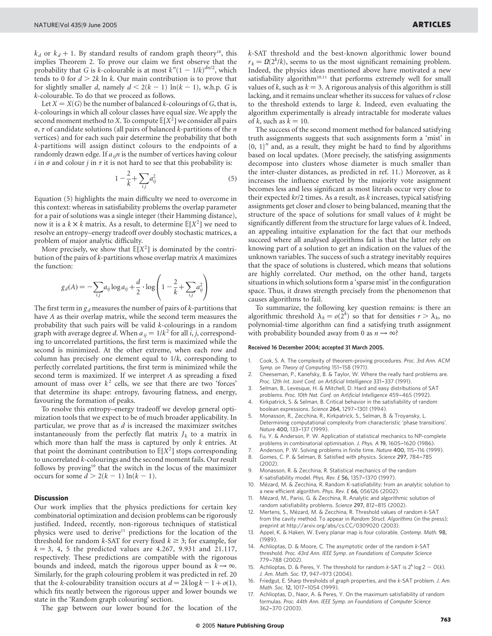$k_d$  or  $k_d + 1$ . By standard results of random graph theory<sup>18</sup>, this implies Theorem 2. To prove our claim we first observe that the probability that G is k-colourable is at most  $k^n(1 - 1/k)^{dn/2}$ , which tends to 0 for  $d > 2k \ln k$ . Our main contribution is to prove that for slightly smaller d, namely  $d < 2(k - 1) \ln(k - 1)$ , w.h.p. G is k-colourable. To do that we proceed as follows.

Let  $X = X(G)$  be the number of balanced k-colourings of G, that is, k-colourings in which all colour classes have equal size. We apply the second moment method to X. To compute  $\mathbb{E}[X^2]$  we consider all pairs  $\sigma$ ,  $\tau$  of candidate solutions (all pairs of balanced k-partitions of the *n* vertices) and for each such pair determine the probability that both k-partitions will assign distinct colours to the endpoints of a randomly drawn edge. If  $a_{ij}$ n is the number of vertices having colour i in  $\sigma$  and colour j in  $\tau$  it is not hard to see that this probability is:

$$
1 - \frac{2}{k} + \sum_{i,j} a_{ij}^2 \tag{5}
$$

Equation (5) highlights the main difficulty we need to overcome in this context: whereas in satisfiability problems the overlap parameter for a pair of solutions was a single integer (their Hamming distance), now it is a  $k \times k$  matrix. As a result, to determine  $\mathbb{E}[X^2]$  we need to resolve an entropy–energy tradeoff over doubly stochastic matrices, a problem of major analytic difficulty.

More precisely, we show that  $\mathbb{E}[X^2]$  is dominated by the contribution of the pairs of k-partitions whose overlap matrix A maximizes the function:

$$
g_d(A) = -\sum_{i,j} a_{ij} \log a_{ij} + \frac{d}{2} \cdot \log \left( 1 - \frac{2}{k} + \sum_{i,j} a_{ij}^2 \right)
$$

The first term in  $g_d$  measures the number of pairs of k-partitions that have A as their overlap matrix, while the second term measures the probability that such pairs will be valid k-colourings in a random graph with average degree d. When  $a_{ij} = 1/k^2$  for all i, j, corresponding to uncorrelated partitions, the first term is maximized while the second is minimized. At the other extreme, when each row and column has precisely one element equal to 1/k, corresponding to perfectly correlated partitions, the first term is minimized while the second term is maximized. If we interpret A as spreading a fixed amount of mass over  $k^2$  cells, we see that there are two 'forces' that determine its shape: entropy, favouring flatness, and energy, favouring the formation of peaks.

To resolve this entropy–energy tradeoff we develop general optimization tools that we expect to be of much broader applicability. In particular, we prove that as  $d$  is increased the maximizer switches instantaneously from the perfectly flat matrix  $J_k$  to a matrix in which more than half the mass is captured by only k entries. At that point the dominant contribution to  $\mathbb{E}[X^2]$  stops corresponding to uncorrelated k-colourings and the second moment fails. Our result follows by proving<sup>19</sup> that the switch in the locus of the maximizer occurs for some  $d > 2(k - 1) \ln(k - 1)$ .

## **Discussion**

Our work implies that the physics predictions for certain key combinatorial optimization and decision problems can be rigorously justified. Indeed, recently, non-rigorous techniques of statistical physics were used to derive<sup>11</sup> predictions for the location of the threshold for random *k*-SAT for every fixed  $k \geq 3$ ; for example, for  $k = 3, 4, 5$  the predicted values are 4.267, 9.931 and 21.117, respectively. These predictions are compatible with the rigorous bounds and indeed, match the rigorous upper bound as  $k \to \infty$ . Similarly, for the graph colouring problem it was predicted in ref. 20 that the k-colourability transition occurs at  $d = 2k \log k - 1 + o(1)$ , which fits neatly between the rigorous upper and lower bounds we state in the 'Random graph colouring' section.

The gap between our lower bound for the location of the

k-SAT threshold and the best-known algorithmic lower bound  $r_k = \Omega(2^k/k)$ , seems to us the most significant remaining problem. Indeed, the physics ideas mentioned above have motivated a new satisfiability algorithm<sup>10,11</sup> that performs extremely well for small values of k, such as  $k = 3$ . A rigorous analysis of this algorithm is still lacking, and it remains unclear whether its success for values ofr close to the threshold extends to large k. Indeed, even evaluating the algorithm experimentally is already intractable for moderate values of k, such as  $k = 10$ .

The success of the second moment method for balanced satisfying truth assignments suggests that such assignments form a 'mist' in  ${0, 1}^n$  and, as a result, they might be hard to find by algorithms based on local updates. (More precisely, the satisfying assignments decompose into clusters whose diameter is much smaller than the inter-cluster distances, as predicted in ref.  $11$ .) Moreover, as  $k$ increases the influence exerted by the majority vote assignment becomes less and less significant as most literals occur very close to their expected  $kr/2$  times. As a result, as  $k$  increases, typical satisfying assignments get closer and closer to being balanced, meaning that the structure of the space of solutions for small values of k might be significantly different from the structure for large values of k. Indeed, an appealing intuitive explanation for the fact that our methods succeed where all analysed algorithms fail is that the latter rely on knowing part of a solution to get an indication on the values of the unknown variables. The success of such a strategy inevitably requires that the space of solutions is clustered, which means that solutions are highly correlated. Our method, on the other hand, targets situations in which solutions form a 'sparse mist' in the configuration space. Thus, it draws strength precisely from the phenomenon that causes algorithms to fail.

To summarize, the following key question remains: is there an algorithmic threshold  $\lambda_k = o(2^k)$  so that for densities  $r > \lambda_k$ , no polynomial-time algorithm can find a satisfying truth assignment with probability bounded away from 0 as  $n \rightarrow \infty$ ?

#### Received 16 December 2004; accepted 31 March 2005.

- 1. Cook, S. A. The complexity of theorem-proving procedures. Proc. 3rd Ann. ACM Symp. on Theory of Computing 151-158 (1971).
- 2. Cheeseman, P., Kanefsky, B. & Taylor, W. Where the really hard problems are. Proc. 12th Int. Joint Conf. on Artificial Intelligence 331-337 (1991).
- Selman, B., Levesque, H. & Mitchell, D. Hard and easy distributions of SAT problems. Proc. 10th Nat. Conf. on Artificial Intelligence 459-465 (1992).
- Kirkpatrick, S. & Selman, B. Critical behavior in the satisfiability of random boolean expressions. Science 264, 1297-1301 (1994).
- 5. Monasson, R., Zecchina, R., Kirkpatrick, S., Selman, B. & Troyansky, L. Determining computational complexity from characteristic 'phase transitions'. Nature 400, 133-137 (1999).
- Fu, Y. & Anderson, P. W. Application of statistical mechanics to NP-complete problems in combinatorial optimisation. J. Phys. A 19, 1605-1620 (1986).
- Anderson, P. W. Solving problems in finite time. Nature 400, 115-116 (1999).
- 8. Gomes, C. P. & Selman, B. Satisfied with physics. Science 297, 784-785 (2002).
- 9. Monasson, R. & Zecchina, R. Statistical mechanics of the random K-satisfiability model. Phys. Rev. E 56, 1357–-1370 (1997).
- 10. Mézard, M. & Zecchina, R. Random K-satisfiability: from an analytic solution to a new efficient algorithm. Phys. Rev. E 66, 056126 (2002).
- Mézard, M., Parisi, G. & Zecchina, R. Analytic and algorithmic solution of random satisfiability problems. Science 297, 812-815 (2002).
- 12. Mertens, S., Mézard, M. & Zecchina, R. Threshold values of random k-SAT from the cavity method. To appear in Random Struct. Algorithms (in the press); preprint at http://arxiv.org/abs/cs.CC/0309020 (2003).
- 13. Appel, K. & Haken, W. Every planar map is four colorable. Contemp. Math. 98, (1989).
- 14. Achlioptas, D. & Moore, C. The asymptotic order of the random k-SAT threshold. Proc. 43rd Ann. IEEE Symp. on Foundations of Computer Science 779–-788 (2002).
- 15. Achlioptas, D. & Peres, Y. The threshold for random k-SAT is  $2^k \log 2 O(k)$ . J. Am. Math. Soc. 17, 947-973 (2004).
- 16. Friedgut, E. Sharp thresholds of graph properties, and the k-SAT problem. J. Am. Math. Soc. 12, 1017-1054 (1999).
- 17. Achlioptas, D., Naor, A. & Peres, Y. On the maximum satisfiability of random formulas. Proc. 44th Ann. IEEE Symp. on Foundations of Computer Science 362–-370 (2003).